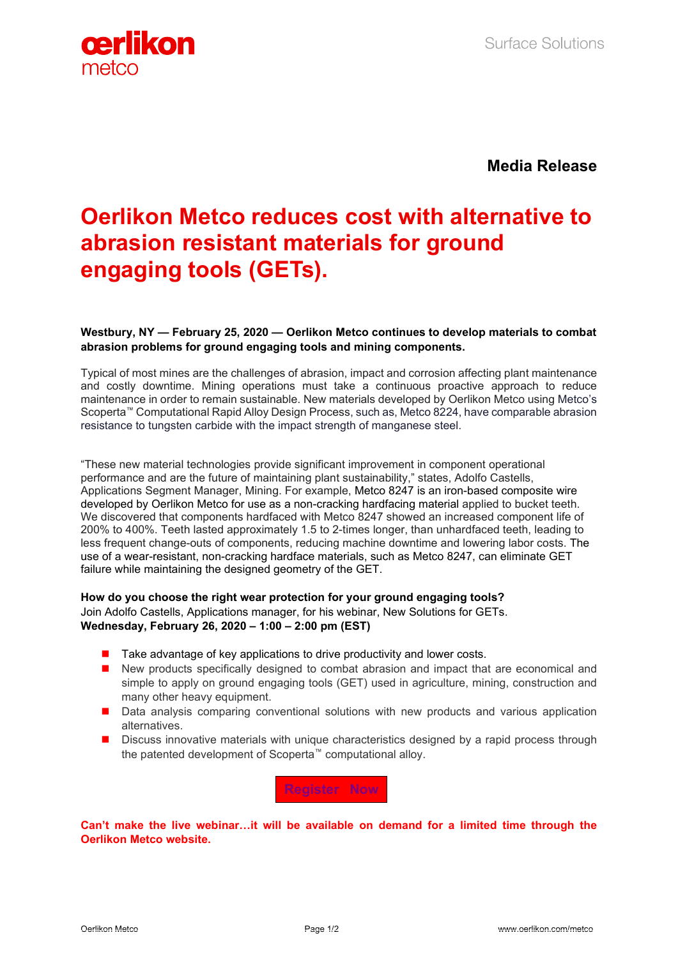

**Media Release**

## **Oerlikon Metco reduces cost with alternative to abrasion resistant materials for ground engaging tools (GETs).**

## **Westbury, NY — February 25, 2020 — Oerlikon Metco continues to develop materials to combat abrasion problems for ground engaging tools and mining components.**

Typical of most mines are the challenges of abrasion, impact and corrosion affecting plant maintenance and costly downtime. Mining operations must take a continuous proactive approach to reduce maintenance in order to remain sustainable. New materials developed by Oerlikon Metco using Metco's Scoperta™ Computational Rapid Alloy Design Process, such as, Metco 8224, have comparable abrasion resistance to tungsten carbide with the impact strength of manganese steel.

"These new material technologies provide significant improvement in component operational performance and are the future of maintaining plant sustainability," states, Adolfo Castells, Applications Segment Manager, Mining. For example, Metco 8247 is an iron-based composite wire developed by Oerlikon Metco for use as a non-cracking hardfacing material applied to bucket teeth. We discovered that components hardfaced with Metco 8247 showed an increased component life of 200% to 400%. Teeth lasted approximately 1.5 to 2-times longer, than unhardfaced teeth, leading to less frequent change-outs of components, reducing machine downtime and lowering labor costs. The use of a wear-resistant, non-cracking hardface materials, such as Metco 8247, can eliminate GET failure while maintaining the designed geometry of the GET.

## **How do you choose the right wear protection for your ground engaging tools?** Join Adolfo Castells, Applications manager, for his webinar, New Solutions for GETs. **Wednesday, February 26, 2020 – 1:00 – 2:00 pm (EST)**

- $\blacksquare$  Take advantage of key applications to drive productivity and lower costs.
- New products specifically designed to combat abrasion and impact that are economical and simple to apply on ground engaging tools (GET) used in agriculture, mining, construction and many other heavy equipment.
- **Data analysis comparing conventional solutions with new products and various application** alternatives.
- **Discuss innovative materials with unique characteristics designed by a rapid process through** the patented development of Scoperta™ computational alloy.

**[Register Now](https://register.gotowebinar.com/register/8532321687045837581?source=PRaccesswire)**

**[Can't make the live webinar…it will be available on demand for a limited time through the](https://www.oerlikon.com/metco/en/)  [Oerlikon Metco website.](https://www.oerlikon.com/metco/en/)**